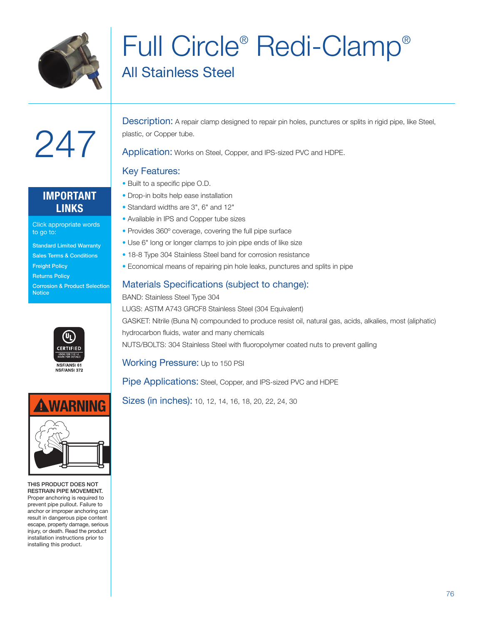

## Full Circle® Redi-Clamp® All Stainless Steel

### **IMPORTANT LINKS**

247

Click appropriate words to go to:

- Standard Limited Warranty
- Sales Terms & Conditions
- Freight Policy

**Notice** 

Returns Policy Corrosion & Product Selection





THIS PRODUCT DOES NOT RESTRAIN PIPE MOVEMENT. Proper anchoring is required to prevent pipe pullout. Failure to anchor or improper anchoring can result in dangerous pipe content escape, property damage, serious injury, or death. Read the product installation instructions prior to installing this product.

Description: A repair clamp designed to repair pin holes, punctures or splits in rigid pipe, like Steel, plastic, or Copper tube.

Application: Works on Steel, Copper, and IPS-sized PVC and HDPE.

#### Key Features:

- Built to a specific pipe O.D.
- Drop-in bolts help ease installation
- Standard widths are 3", 6" and 12"
- Available in IPS and Copper tube sizes
- Provides 360º coverage, covering the full pipe surface
- Use 6" long or longer clamps to join pipe ends of like size
- 18-8 Type 304 Stainless Steel band for corrosion resistance
- Economical means of repairing pin hole leaks, punctures and splits in pipe

#### Materials Specifications (subject to change):

BAND: Stainless Steel Type 304 LUGS: ASTM A743 GRCF8 Stainless Steel (304 Equivalent) GASKET: Nitrile (Buna N) compounded to produce resist oil, natural gas, acids, alkalies, most (aliphatic) hydrocarbon fluids, water and many chemicals NUTS/BOLTS: 304 Stainless Steel with fluoropolymer coated nuts to prevent galling

Working Pressure: Up to 150 PSI

Pipe Applications: Steel, Copper, and IPS-sized PVC and HDPE

Sizes (in inches): 10, 12, 14, 16, 18, 20, 22, 24, 30